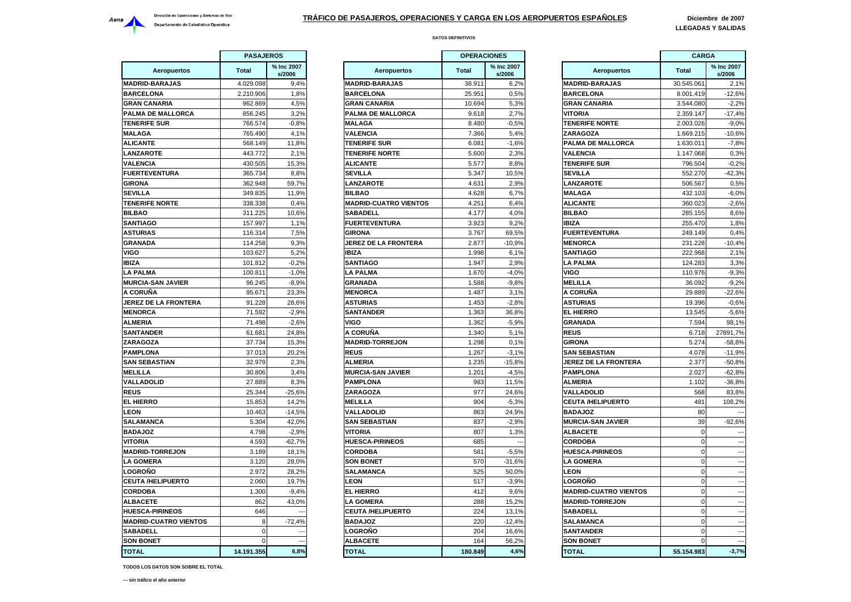**LLEGADAS Y SALIDAS**

## **DATOS DEFINITIVOS**

|                              | <b>PASAJEROS</b> |                      |                          |  |  |
|------------------------------|------------------|----------------------|--------------------------|--|--|
| <b>Aeropuertos</b>           | <b>Total</b>     | % Inc 2007<br>s/2006 | <b>Aeropuertos</b>       |  |  |
| <b>MADRID-BARAJAS</b>        | 4.029.098        | 9,4%                 | <b>MADRID-BARAJAS</b>    |  |  |
| <b>BARCELONA</b>             | 2.210.906        | 1,8%                 | <b>BARCELONA</b>         |  |  |
| <b>GRAN CANARIA</b>          | 962.869          | 4,5%                 | <b>GRAN CANARIA</b>      |  |  |
| PALMA DE MALLORCA            | 856.245          | 3,2%                 | PALMA DE MALLORC         |  |  |
| <b>TENERIFE SUR</b>          | 766.574          | $-0.8%$              | <b>MALAGA</b>            |  |  |
| <b>MALAGA</b>                | 765.490          | 4,1%                 | <b>VALENCIA</b>          |  |  |
| <b>ALICANTE</b>              | 568.149          | 11.8%                | <b>TENERIFE SUR</b>      |  |  |
| LANZAROTE                    | 443.772          | 2,1%                 | <b>TENERIFE NORTE</b>    |  |  |
| <b>VALENCIA</b>              | 430.505          | 15,3%                | <b>ALICANTE</b>          |  |  |
| <b>FUERTEVENTURA</b>         | 365.734          | 8,8%                 | <b>SEVILLA</b>           |  |  |
| <b>GIRONA</b>                | 362.948          | 59,7%                | LANZAROTE                |  |  |
| SEVILLA                      | 349.835          | 11,9%                | <b>BILBAO</b>            |  |  |
| <b>TENERIFE NORTE</b>        | 338.338          | 0,4%                 | <b>MADRID-CUATRO VIE</b> |  |  |
| <b>BILBAO</b>                | 311.225          | 10.6%                | <b>SABADELL</b>          |  |  |
| <b>SANTIAGO</b>              | 157.997          | 1,1%                 | <b>FUERTEVENTURA</b>     |  |  |
| <b>ASTURIAS</b>              | 116.314          | 7,5%                 | <b>GIRONA</b>            |  |  |
| <b>GRANADA</b>               | 114.258          | 9,3%                 | JEREZ DE LA FRONTI       |  |  |
| VIGO                         | 103.627          | 5,2%                 | <b>IBIZA</b>             |  |  |
| IBIZA                        | 101.812          | $-0.2%$              | <b>SANTIAGO</b>          |  |  |
| <b>LA PALMA</b>              | 100.811          | $-1,0%$              | <b>LA PALMA</b>          |  |  |
| <b>MURCIA-SAN JAVIER</b>     | 96.245           | $-8,9%$              | <b>GRANADA</b>           |  |  |
| A CORUÑA                     | 95.671           | 23,3%                | <b>MENORCA</b>           |  |  |
| <b>JEREZ DE LA FRONTERA</b>  | 91.228           | 28,6%                | <b>ASTURIAS</b>          |  |  |
| <b>MENORCA</b>               | 71.592           | $-2.9%$              | <b>SANTANDER</b>         |  |  |
| ALMERIA                      | 71.498           | $-2,6%$              | VIGO                     |  |  |
| SANTANDER                    | 61.681           | 24,8%                | A CORUÑA                 |  |  |
| ZARAGOZA                     | 37.734           | 15,3%                | <b>MADRID-TORREJON</b>   |  |  |
| <b>PAMPLONA</b>              | 37.013           | 20,2%                | <b>REUS</b>              |  |  |
| SAN SEBASTIAN                | 32.979           | 2,3%                 | <b>ALMERIA</b>           |  |  |
| <b>MELILLA</b>               | 30.806           | 3,4%                 | <b>MURCIA-SAN JAVIER</b> |  |  |
| <b>VALLADOLID</b>            | 27.889           | 8,3%                 | <b>PAMPLONA</b>          |  |  |
| <b>REUS</b>                  | 25.344           | $-25,6%$             | <b>ZARAGOZA</b>          |  |  |
| EL HIERRO                    | 15.853           | 14,2%                | <b>MELILLA</b>           |  |  |
| <b>LEON</b>                  | 10.463           | $-14,5%$             | VALLADOLID               |  |  |
| SALAMANCA                    | 5.304            | 42.0%                | <b>SAN SEBASTIAN</b>     |  |  |
| <b>BADAJOZ</b>               | 4.798            | $-2,9%$              | <b>VITORIA</b>           |  |  |
| VITORIA                      | 4.593            | $-62,7%$             | <b>HUESCA-PIRINEOS</b>   |  |  |
| <b>MADRID-TORREJON</b>       | 3.189            | 18,1%                | <b>CORDOBA</b>           |  |  |
| <b>LA GOMERA</b>             | 3.120            | 28,0%                | <b>SON BONET</b>         |  |  |
| <b>LOGROÑO</b>               | 2.972            | 28,2%                | <b>SALAMANCA</b>         |  |  |
| <b>CEUTA /HELIPUERTO</b>     | 2.060            | 19,7%                | <b>LEON</b>              |  |  |
| <b>CORDOBA</b>               | 1.300            | $-9,4%$              | <b>EL HIERRO</b>         |  |  |
| <b>ALBACETE</b>              | 862              | 43,0%                | <b>LA GOMERA</b>         |  |  |
| <b>HUESCA-PIRINEOS</b>       | 646              |                      | <b>CEUTA /HELIPUERTO</b> |  |  |
| <b>MADRID-CUATRO VIENTOS</b> | 8                | $-72,4%$             | <b>BADAJOZ</b>           |  |  |
| SABADELL                     | $\mathbf 0$      |                      | <b>LOGROÑO</b>           |  |  |
| <b>SON BONET</b>             | 0                |                      | <b>ALBACETE</b>          |  |  |
| <b>TOTAL</b>                 | 14.191.355       | 6,8%                 | <b>TOTAL</b>             |  |  |
|                              |                  |                      |                          |  |  |

|                            | <b>PASAJEROS</b> |                      |                              | <b>OPERACIONES</b> |                          |                              | <b>CARGA</b> |                          |
|----------------------------|------------------|----------------------|------------------------------|--------------------|--------------------------|------------------------------|--------------|--------------------------|
| <b>Aeropuertos</b>         | <b>Total</b>     | % Inc 2007<br>s/2006 | <b>Aeropuertos</b>           | <b>Total</b>       | % Inc 2007<br>s/2006     | <b>Aeropuertos</b>           | <b>Total</b> | % Inc 2007<br>s/2006     |
| <b>DRID-BARAJAS</b>        | 4.029.098        | 9,4%                 | <b>MADRID-BARAJAS</b>        | 38.911             | 6,2%                     | <b>MADRID-BARAJAS</b>        | 30.545.061   | 2,1%                     |
| <b>RCELONA</b>             | 2.210.906        | 1,8%                 | <b>BARCELONA</b>             | 25.951             | 0.5%                     | <b>BARCELONA</b>             | 8.001.419    | $-12,6%$                 |
| AN CANARIA                 | 962.869          | 4.5%                 | <b>GRAN CANARIA</b>          | 10.694             | 5,3%                     | <b>GRAN CANARIA</b>          | 3.544.080    | $-2.2%$                  |
| MA DE MALLORCA.            | 856.245          | 3,2%                 | PALMA DE MALLORCA            | 9.618              | 2,7%                     | <b>VITORIA</b>               | 2.359.147    | $-17,4%$                 |
| <b>IERIFE SUR</b>          | 766.574          | $-0.8%$              | <b>MALAGA</b>                | 8.480              | $-0.5%$                  | <b>TENERIFE NORTE</b>        | 2.003.026    | $-9.0%$                  |
| LAGA                       | 765.490          | 4,1%                 | <b>VALENCIA</b>              | 7.366              | 5,4%                     | ZARAGOZA                     | 1.669.215    | $-10,6%$                 |
| CANTE                      | 568.149          | 11,8%                | <b>TENERIFE SUR</b>          | 6.081              | $-1.6%$                  | PALMA DE MALLORCA            | 1.630.011    | $-7,8%$                  |
| <b>IZAROTE</b>             | 443.772          | 2,1%                 | <b>TENERIFE NORTE</b>        | 5.600              | 2,3%                     | VALENCIA                     | 1.147.068    | 0,3%                     |
| <b>ENCIA</b>               | 430.505          | 15,3%                | <b>ALICANTE</b>              | 5.577              | 8,8%                     | <b>TENERIFE SUR</b>          | 796.504      | $-0,2%$                  |
| <b>ERTEVENTURA</b>         | 365.734          | 8,8%                 | <b>SEVILLA</b>               | 5.347              | 10,5%                    | SEVILLA                      | 552.270      | $-42,3%$                 |
| ONA                        | 362.948          | 59,7%                | LANZAROTE                    | 4.631              | 2,9%                     | <b>LANZAROTE</b>             | 506.567      | 0,5%                     |
| <b>IILLA</b>               | 349.835          | 11,9%                | <b>BILBAO</b>                | 4.628              | 6,7%                     | <b>MALAGA</b>                | 432.103      | $-6,0%$                  |
| <b>IERIFE NORTE</b>        | 338.338          | 0,4%                 | <b>MADRID-CUATRO VIENTOS</b> | 4.251              | 6,4%                     | <b>ALICANTE</b>              | 360.023      | $-2,6%$                  |
| BAO                        | 311.225          | 10,6%                | <b>SABADELL</b>              | 4.177              | 4.0%                     | <b>BILBAO</b>                | 285.155      | 8,6%                     |
| <b>ITIAGO</b>              | 157.997          | 1,1%                 | <b>FUERTEVENTURA</b>         | 3.923              | 9,2%                     | <b>IBIZA</b>                 | 255.470      | 1,8%                     |
| <b>URIAS</b>               | 116.314          | 7.5%                 | <b>GIRONA</b>                | 3.767              | 69,5%                    | <b>FUERTEVENTURA</b>         | 249.149      | 0,4%                     |
| ANADA                      | 114.258          | 9,3%                 | <b>JEREZ DE LA FRONTERA</b>  | 2.877              | $-10,9%$                 | <b>MENORCA</b>               | 231.228      | $-10,4%$                 |
| О                          | 103.627          | 5.2%                 | <b>IBIZA</b>                 | 1.998              | 6.1%                     | <b>SANTIAGO</b>              | 222.968      | 2.1%                     |
| 'A                         | 101.812          | $-0,2%$              | <b>SANTIAGO</b>              | 1.947              | 2,9%                     | <b>LA PALMA</b>              | 124.283      | 3,3%                     |
| <b>PALMA</b>               | 100.811          | $-1,0%$              | <b>LA PALMA</b>              | 1.670              | $-4.0%$                  | VIGO                         | 110.976      | $-9,3%$                  |
| RCIA-SAN JAVIER            | 96.245           | $-8,9%$              | <b>GRANADA</b>               | 1.588              | $-9,8%$                  | <b>MELILLA</b>               | 36.092       | $-9,2%$                  |
| ORUÑA                      | 95.671           | 23,3%                | <b>MENORCA</b>               | 1.487              | 3.1%                     | A CORUÑA                     | 29.889       | $-22.6%$                 |
| <b>EZ DE LA FRONTERA</b>   | 91.228           | 28,6%                | <b>ASTURIAS</b>              | 1.453              | $-2,8%$                  | <b>ASTURIAS</b>              | 19.396       | $-0.6%$                  |
| <b>NORCA</b>               | 71.592           | $-2,9%$              | <b>SANTANDER</b>             | 1.363              | 36,8%                    | <b>EL HIERRO</b>             | 13.545       | $-5,6%$                  |
| <b>AERIA</b>               | 71.498           | $-2,6%$              | <b>VIGO</b>                  | 1.362              | $-5,9%$                  | <b>GRANADA</b>               | 7.594        | 98,1%                    |
| <b>ITANDER</b>             | 61.681           | 24,8%                | A CORUÑA                     | 1.340              | 5,1%                     | <b>REUS</b>                  | 6.718        | 27891,7%                 |
| <b>AGOZA</b>               | 37.734           | 15,3%                | <b>MADRID-TORREJON</b>       | 1.298              | 0,1%                     | <b>GIRONA</b>                | 5.274        | $-58,8%$                 |
| <b>APLONA</b>              | 37.013           | 20,2%                | <b>REUS</b>                  | 1.267              | $-3,1%$                  | <b>SAN SEBASTIAN</b>         | 4.078        | $-11,9%$                 |
| <b><i>SEBASTIAN</i></b>    | 32.979           | 2.3%                 | ALMERIA                      | 1.235              | $-15,8%$                 | JEREZ DE LA FRONTERA         | 2.377        | $-50,8%$                 |
| LILLA                      | 30.806           | 3,4%                 | <b>MURCIA-SAN JAVIER</b>     | 1.201              | $-4,5%$                  | <b>PAMPLONA</b>              | 2.027        | $-62,8%$                 |
| <b>LADOLID</b>             | 27.889           | 8,3%                 | PAMPLONA                     | 983                | 11,5%                    | ALMERIA                      | 1.102        | $-36,8%$                 |
| JS                         | 25.344           | $-25,6%$             | ZARAGOZA                     | 977                | 24,6%                    | VALLADOLID                   | 568          | 83,8%                    |
| <b>HIERRO</b>              | 15.853           | 14,2%                | <b>MELILLA</b>               | 904                | $-5,3%$                  | <b>CEUTA /HELIPUERTO</b>     | 481          | 108,2%                   |
| ЭN                         | 10.463           | $-14,5%$             | VALLADOLID                   | 863                | 24,9%                    | <b>BADAJOZ</b>               | 80           | $\overline{a}$           |
| <b>AMANCA</b>              | 5.304            | 42,0%                | <b>SAN SEBASTIAN</b>         | 837                | $-2,9%$                  | <b>MURCIA-SAN JAVIER</b>     | 39           | $-92.6%$                 |
| <b>SOLAC</b>               | 4.798            | $-2,9%$              | <b>VITORIA</b>               | 807                | 1,3%                     | <b>ALBACETE</b>              | $\mathbf 0$  |                          |
| ORIA                       | 4.593            | $-62,7%$             | <b>HUESCA-PIRINEOS</b>       | 685                | $\overline{\phantom{a}}$ | <b>CORDOBA</b>               | $\Omega$     | $\overline{\phantom{a}}$ |
| <b>DRID-TORREJON</b>       | 3.189            | 18,1%                | <b>CORDOBA</b>               | 581                | $-5.5%$                  | <b>HUESCA-PIRINEOS</b>       | $\mathbf 0$  | $\overline{\phantom{a}}$ |
| <b>GOMERA</b>              | 3.120            | 28,0%                | <b>SON BONET</b>             | 570                | $-31,6%$                 | <b>LA GOMERA</b>             | $\Omega$     | $\overline{\phantom{a}}$ |
| <b>GROÑO</b>               | 2.972            | 28,2%                | <b>SALAMANCA</b>             | 525                | 50,0%                    | <b>LEON</b>                  | $\Omega$     | $\overline{\phantom{a}}$ |
| <b>JTA /HELIPUERTO</b>     | 2.060            | 19.7%                | LEON                         | 517                | $-3.9%$                  | LOGROÑO                      | $\Omega$     |                          |
| <b>RDOBA</b>               | 1.300            | $-9,4%$              | <b>EL HIERRO</b>             | 412                | 9,6%                     | <b>MADRID-CUATRO VIENTOS</b> | $\Omega$     | $\overline{\phantom{a}}$ |
| <b>ACETE</b>               | 862              | 43,0%                | <b>LA GOMERA</b>             | 288                | 15,2%                    | <b>MADRID-TORREJON</b>       | $\sqrt{ }$   | $\overline{\phantom{a}}$ |
| <b>ESCA-PIRINEOS</b>       | 646              |                      | <b>CEUTA /HELIPUERTO</b>     | 224                | 13,1%                    | <b>SABADELL</b>              | $\Omega$     |                          |
| <b>DRID-CUATRO VIENTOS</b> |                  | $-72,4%$             | <b>BADAJOZ</b>               | 220                | $-12,4%$                 | SALAMANCA                    | $\Omega$     |                          |
| <b>BADELL</b>              |                  |                      | _OGROÑO                      | 204                | 16.6%                    | <b>SANTANDER</b>             | $\Omega$     | ---                      |
| <b>N BONET</b>             | $\Omega$         |                      | <b>ALBACETE</b>              | 164                | 56,2%                    | <b>SON BONET</b>             | $\sqrt{2}$   |                          |
| <b>TAL</b>                 | 14.191.355       | 6.8%                 | <b>TOTAL</b>                 | 180.849            | 4.6%                     | <b>TOTAL</b>                 | 55.154.983   | $-3.7%$                  |
|                            |                  |                      |                              |                    |                          |                              |              |                          |

|                       | <b>OPERACIONES</b> |                      |                              | <b>CARGA</b> |                          |  |
|-----------------------|--------------------|----------------------|------------------------------|--------------|--------------------------|--|
| <b>Aeropuertos</b>    | <b>Total</b>       | % Inc 2007<br>s/2006 | <b>Aeropuertos</b>           | <b>Total</b> | % Inc 2007<br>s/2006     |  |
| <b>BARAJAS</b>        | 38.911             | 6,2%                 | <b>MADRID-BARAJAS</b>        | 30.545.061   | 2,1%                     |  |
| AMC                   | 25.951             | 0,5%                 | <b>BARCELONA</b>             | 8.001.419    | $-12,6%$                 |  |
| <b>NARIA</b>          | 10.694             | 5,3%                 | <b>GRAN CANARIA</b>          | 3.544.080    | $-2,2%$                  |  |
| <b>E MALLORCA</b>     | 9.618              | 2,7%                 | <b>VITORIA</b>               | 2.359.147    | $-17,4%$                 |  |
|                       | 8.480              | $-0,5%$              | <b>TENERIFE NORTE</b>        | 2.003.026    | $-9,0%$                  |  |
| А                     | 7.366              | 5,4%                 | <b>ZARAGOZA</b>              | 1.669.215    | $-10,6%$                 |  |
| E SUR                 | 6.081              | $-1,6%$              | PALMA DE MALLORCA            | 1.630.011    | $-7,8%$                  |  |
| E NORTE               | 5.600              | 2,3%                 | <b>VALENCIA</b>              | 1.147.068    | 0,3%                     |  |
| E.                    | 5.577              | 8,8%                 | <b>TENERIFE SUR</b>          | 796.504      | $-0,2%$                  |  |
|                       | 5.347              | 10,5%                | <b>SEVILLA</b>               | 552.270      | $-42,3%$                 |  |
| )TF                   | 4.631              | 2,9%                 | <b>LANZAROTE</b>             | 506.567      | 0,5%                     |  |
|                       | 4.628              | 6,7%                 | <b>MALAGA</b>                | 432.103      | $-6,0%$                  |  |
| <b>CUATRO VIENTOS</b> | 4.251              | 6,4%                 | <b>ALICANTE</b>              | 360.023      | $-2,6%$                  |  |
| LL                    | 4.177              | 4,0%                 | <b>BILBAO</b>                | 285.155      | 8,6%                     |  |
| <b>ENTURA</b>         | 3.923              | 9,2%                 | <b>IBIZA</b>                 | 255.470      | 1,8%                     |  |
|                       | 3.767              | 69,5%                | <b>FUERTEVENTURA</b>         | 249.149      | 0,4%                     |  |
| E LA FRONTERA         | 2.877              | $-10,9%$             | <b>MENORCA</b>               | 231.228      | $-10,4%$                 |  |
|                       | 1.998              | 6,1%                 | <b>SANTIAGO</b>              | 222.968      | 2,1%                     |  |
| О                     | 1.947              | 2,9%                 | <b>LA PALMA</b>              | 124.283      | 3,3%                     |  |
| Α                     | 1.670              | $-4,0%$              | <b>VIGO</b>                  | 110.976      | $-9,3%$                  |  |
| А                     | 1.588              | $-9,8%$              | <b>MELILLA</b>               | 36.092       | $-9,2%$                  |  |
| Α                     | 1.487              | 3,1%                 | A CORUÑA                     | 29.889       | $-22,6%$                 |  |
| S                     | 1.453              | $-2,8%$              | <b>ASTURIAS</b>              | 19.396       | $-0.6%$                  |  |
| <b>DER</b>            | 1.363              | 36,8%                | <b>EL HIERRO</b>             | 13.545       | $-5,6%$                  |  |
|                       | 1.362              | $-5,9%$              | <b>GRANADA</b>               | 7.594        | 98,1%                    |  |
| İΑ                    | 1.340              | 5,1%                 | <b>REUS</b>                  | 6.718        | 27891,7%                 |  |
| <b>TORREJON</b>       | 1.298              | 0,1%                 | <b>GIRONA</b>                | 5.274        | $-58,8%$                 |  |
|                       | 1.267              | $-3,1%$              | <b>SAN SEBASTIAN</b>         | 4.078        | $-11,9%$                 |  |
|                       | 1.235              | $-15,8%$             | <b>JEREZ DE LA FRONTERA</b>  | 2.377        | $-50,8%$                 |  |
| SAN JAVIER            | 1.201              | $-4,5%$              | <b>PAMPLONA</b>              | 2.027        | $-62,8%$                 |  |
| NΑ                    | 983                | 11,5%                | <b>ALMERIA</b>               | 1.102        | $-36,8%$                 |  |
| ΖA                    | 977                | 24,6%                | VALLADOLID                   | 568          | 83,8%                    |  |
|                       | 904                | $-5,3%$              | <b>CEUTA /HELIPUERTO</b>     | 481          | 108,2%                   |  |
| סו וכ                 | 863                | 24,9%                | <b>BADAJOZ</b>               | 80           |                          |  |
| <b>ASTIAN</b>         | 837                | $-2,9%$              | <b>MURCIA-SAN JAVIER</b>     | 39           | $-92,6%$                 |  |
|                       | 807                | 1,3%                 | <b>ALBACETE</b>              | $\mathbf 0$  | --                       |  |
| <b>PIRINEOS</b>       | 685                | Ξ.                   | <b>CORDOBA</b>               | $\Omega$     | $\overline{\phantom{a}}$ |  |
| Α                     | 581                | $-5,5%$              | <b>HUESCA-PIRINEOS</b>       | $\Omega$     | $\overline{\phantom{a}}$ |  |
| IΕT                   | 570                | $-31,6%$             | <b>LA GOMERA</b>             | $\mathbf 0$  |                          |  |
| <b>NCA</b>            | 525                | 50,0%                | <b>LEON</b>                  | $\mathbf 0$  | $\overline{a}$           |  |
|                       | 517                | $-3,9%$              | <b>LOGROÑO</b>               | $\mathbf 0$  | $\sim$                   |  |
| ζO                    | 412                | 9,6%                 | <b>MADRID-CUATRO VIENTOS</b> | $\mathbf 0$  | $\overline{a}$           |  |
| ·RA                   | 288                | 15,2%                | <b>MADRID-TORREJON</b>       | $\mathbf 0$  |                          |  |
| <b>IELIPUERTO</b>     | 224                | 13,1%                | <b>SABADELL</b>              | $\mathbf 0$  | Ξ.                       |  |
|                       | 220                | $-12,4%$             | <b>SALAMANCA</b>             | 0            | $\overline{\phantom{a}}$ |  |
| о                     | 204                | 16,6%                | <b>SANTANDER</b>             | 0            |                          |  |
| ГE                    | 164                | 56,2%                | <b>SON BONET</b>             | 0            | $\sim$                   |  |
|                       | 180.849            | 4,6%                 | <b>TOTAL</b>                 | 55.154.983   | $-3,7%$                  |  |
|                       |                    |                      |                              |              |                          |  |

**TODOS LOS DATOS SON SOBRE EL TOTAL**